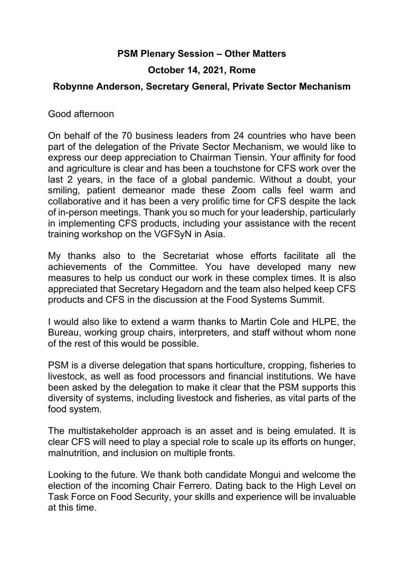## **PSM Plenary Session – Other Matters**

## **October 14, 2021, Rome**

## **Robynne Anderson, Secretary General, Private Sector Mechanism**

Good afternoon

On behalf of the 70 business leaders from 24 countries who have been part of the delegation of the Private Sector Mechanism, we would like to express our deep appreciation to Chairman Tiensin. Your affinity for food and agriculture is clear and has been a touchstone for CFS work over the last 2 years, in the face of a global pandemic. Without a doubt, your smiling, patient demeanor made these Zoom calls feel warm and collaborative and it has been a very prolific time for CFS despite the lack of in-person meetings. Thank you so much for your leadership, particularly in implementing CFS products, including your assistance with the recent training workshop on the VGFSyN in Asia.

My thanks also to the Secretariat whose efforts facilitate all the achievements of the Committee. You have developed many new measures to help us conduct our work in these complex times. It is also appreciated that Secretary Hegadorn and the team also helped keep CFS products and CFS in the discussion at the Food Systems Summit.

I would also like to extend a warm thanks to Martin Cole and HLPE, the Bureau, working group chairs, interpreters, and staff without whom none of the rest of this would be possible.

PSM is a diverse delegation that spans horticulture, cropping, fisheries to livestock, as well as food processors and financial institutions. We have been asked by the delegation to make it clear that the PSM supports this diversity of systems, including livestock and fisheries, as vital parts of the food system.

The multistakeholder approach is an asset and is being emulated. It is clear CFS will need to play a special role to scale up its efforts on hunger, malnutrition, and inclusion on multiple fronts.

Looking to the future. We thank both candidate Mongui and welcome the election of the incoming Chair Ferrero. Dating back to the High Level on Task Force on Food Security, your skills and experience will be invaluable at this time.